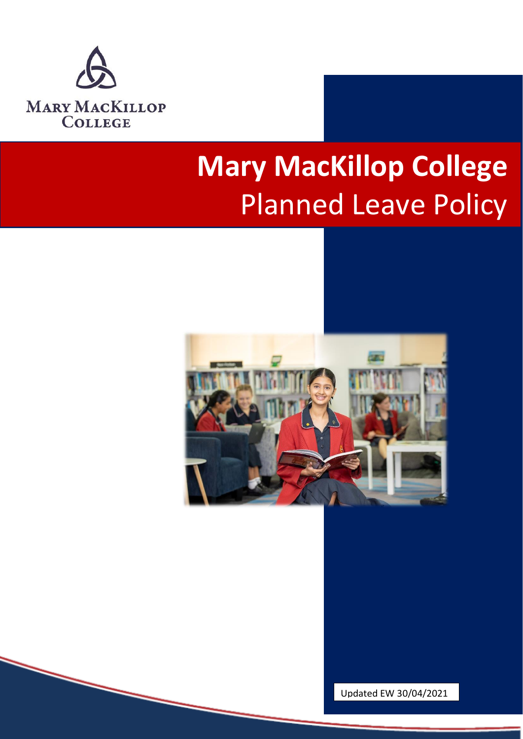

# **Mary MacKillop College**  Planned Leave Policy



Updated EW 30/04/2021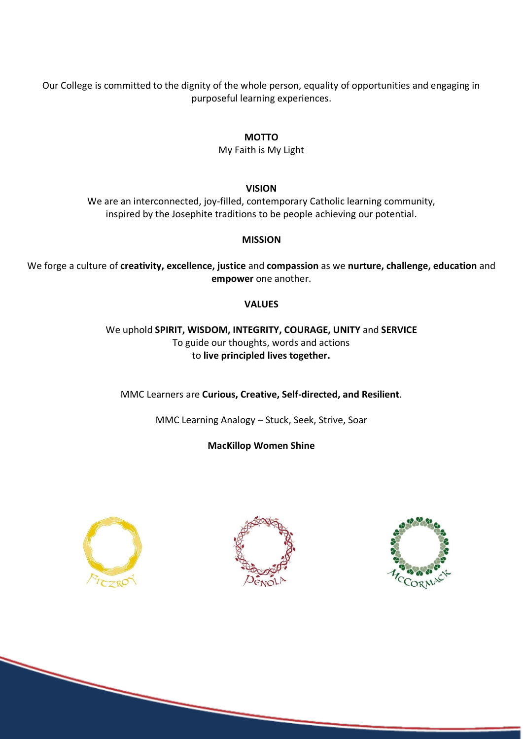Our College is committed to the dignity of the whole person, equality of opportunities and engaging in purposeful learning experiences.

#### **MOTTO**

My Faith is My Light

**VISION**

We are an interconnected, joy-filled, contemporary Catholic learning community, inspired by the Josephite traditions to be people achieving our potential.

#### **MISSION**

We forge a culture of **creativity, excellence, justice** and **compassion** as we **nurture, challenge, education** and **empower** one another.

#### **VALUES**

We uphold **SPIRIT, WISDOM, INTEGRITY, COURAGE, UNITY** and **SERVICE** To guide our thoughts, words and actions to **live principled lives together.**

MMC Learners are **Curious, Creative, Self-directed, and Resilient**.

MMC Learning Analogy – Stuck, Seek, Strive, Soar

**MacKillop Women Shine**





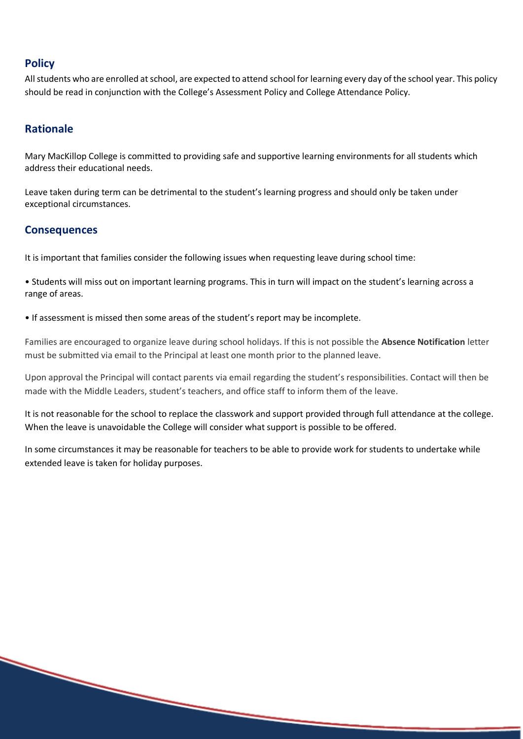# **Policy**

All students who are enrolled at school, are expected to attend school for learning every day of the school year. This policy should be read in conjunction with the College's Assessment Policy and College Attendance Policy.

# **Rationale**

Mary MacKillop College is committed to providing safe and supportive learning environments for all students which address their educational needs.

Leave taken during term can be detrimental to the student's learning progress and should only be taken under exceptional circumstances.

### **Consequences**

It is important that families consider the following issues when requesting leave during school time:

• Students will miss out on important learning programs. This in turn will impact on the student's learning across a range of areas.

• If assessment is missed then some areas of the student's report may be incomplete.

Families are encouraged to organize leave during school holidays. If this is not possible the **Absence Notification** letter must be submitted via email to the Principal at least one month prior to the planned leave.

Upon approval the Principal will contact parents via email regarding the student's responsibilities. Contact will then be made with the Middle Leaders, student's teachers, and office staff to inform them of the leave.

It is not reasonable for the school to replace the classwork and support provided through full attendance at the college. When the leave is unavoidable the College will consider what support is possible to be offered.

In some circumstances it may be reasonable for teachers to be able to provide work for students to undertake while extended leave is taken for holiday purposes.